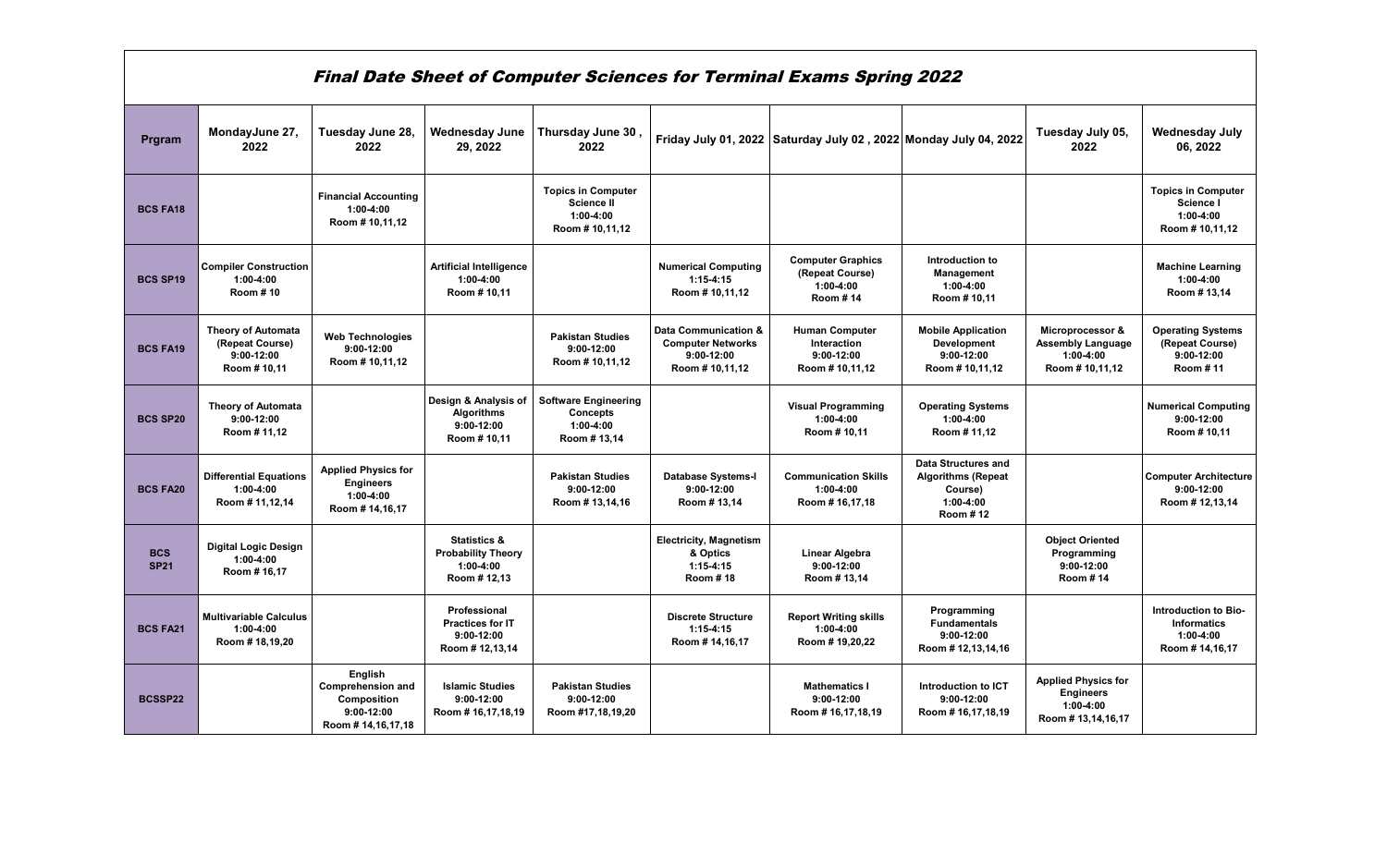|                           |                                                                             |                                                                                         |                                                                                     |                                                                                  |                                                                                    | <b>Final Date Sheet of Computer Sciences for Terminal Exams Spring 2022</b> |                                                                                                      |                                                                                    |                                                                             |
|---------------------------|-----------------------------------------------------------------------------|-----------------------------------------------------------------------------------------|-------------------------------------------------------------------------------------|----------------------------------------------------------------------------------|------------------------------------------------------------------------------------|-----------------------------------------------------------------------------|------------------------------------------------------------------------------------------------------|------------------------------------------------------------------------------------|-----------------------------------------------------------------------------|
| Prgram                    | MondayJune 27,<br>2022                                                      | Tuesday June 28,<br>2022                                                                | <b>Wednesday June</b><br>29, 2022                                                   | Thursday June 30<br>2022                                                         |                                                                                    | Friday July 01, 2022 Saturday July 02, 2022 Monday July 04, 2022            |                                                                                                      | Tuesday July 05,<br>2022                                                           | <b>Wednesday July</b><br>06, 2022                                           |
| <b>BCS FA18</b>           |                                                                             | <b>Financial Accounting</b><br>$1:00-4:00$<br>Room #10,11,12                            |                                                                                     | <b>Topics in Computer</b><br><b>Science II</b><br>$1:00-4:00$<br>Room # 10,11,12 |                                                                                    |                                                                             |                                                                                                      |                                                                                    | <b>Topics in Computer</b><br>Science I<br>$1:00-4:00$<br>Room #10,11,12     |
| <b>BCS SP19</b>           | <b>Compiler Construction</b><br>$1:00-4:00$<br>Room #10                     |                                                                                         | <b>Artificial Intelligence</b><br>$1:00-4:00$<br>Room #10,11                        |                                                                                  | <b>Numerical Computing</b><br>$1:15-4:15$<br>Room #10,11,12                        | <b>Computer Graphics</b><br>(Repeat Course)<br>$1:00-4:00$<br>Room #14      | Introduction to<br>Management<br>$1:00-4:00$<br>Room #10,11                                          |                                                                                    | <b>Machine Learning</b><br>$1:00-4:00$<br>Room #13,14                       |
| <b>BCS FA19</b>           | <b>Theory of Automata</b><br>(Repeat Course)<br>$9:00-12:00$<br>Room #10,11 | <b>Web Technologies</b><br>$9:00-12:00$<br>Room #10,11,12                               |                                                                                     | <b>Pakistan Studies</b><br>$9:00-12:00$<br>Room #10,11,12                        | Data Communication &<br><b>Computer Networks</b><br>$9:00-12:00$<br>Room #10,11,12 | <b>Human Computer</b><br>Interaction<br>$9:00-12:00$<br>Room #10,11,12      | <b>Mobile Application</b><br><b>Development</b><br>$9:00-12:00$<br>Room #10,11,12                    | Microprocessor &<br><b>Assembly Language</b><br>$1:00-4:00$<br>Room #10,11,12      | <b>Operating Systems</b><br>(Repeat Course)<br>$9:00-12:00$<br>Room #11     |
| <b>BCS SP20</b>           | <b>Theory of Automata</b><br>$9:00-12:00$<br>Room #11,12                    |                                                                                         | Design & Analysis of<br>Algorithms<br>$9:00-12:00$<br>Room # 10,11                  | <b>Software Engineering</b><br><b>Concepts</b><br>$1:00-4:00$<br>Room #13,14     |                                                                                    | <b>Visual Programming</b><br>$1:00-4:00$<br>Room #10,11                     | <b>Operating Systems</b><br>$1:00-4:00$<br>Room #11,12                                               |                                                                                    | <b>Numerical Computing</b><br>$9:00-12:00$<br>Room #10,11                   |
| <b>BCS FA20</b>           | <b>Differential Equations</b><br>$1:00-4:00$<br>Room #11,12,14              | <b>Applied Physics for</b><br><b>Engineers</b><br>$1:00-4:00$<br>Room # 14,16,17        |                                                                                     | <b>Pakistan Studies</b><br>$9:00-12:00$<br>Room #13,14,16                        | <b>Database Systems-I</b><br>9:00-12:00<br>Room #13,14                             | <b>Communication Skills</b><br>$1:00-4:00$<br>Room #16,17,18                | <b>Data Structures and</b><br><b>Algorithms (Repeat</b><br>Course)<br>$1:00-4:00$<br><b>Room #12</b> |                                                                                    | <b>Computer Architecture</b><br>$9:00-12:00$<br>Room #12,13,14              |
| <b>BCS</b><br><b>SP21</b> | <b>Digital Logic Design</b><br>$1:00-4:00$<br>Room #16,17                   |                                                                                         | <b>Statistics &amp;</b><br><b>Probability Theory</b><br>$1:00-4:00$<br>Room # 12,13 |                                                                                  | <b>Electricity, Magnetism</b><br>& Optics<br>$1:15-4:15$<br><b>Room #18</b>        | <b>Linear Algebra</b><br>$9:00-12:00$<br>Room #13,14                        |                                                                                                      | <b>Object Oriented</b><br>Programming<br>$9:00-12:00$<br><b>Room #14</b>           |                                                                             |
| <b>BCS FA21</b>           | <b>Multivariable Calculus</b><br>$1:00-4:00$<br>Room #18,19,20              |                                                                                         | Professional<br><b>Practices for IT</b><br>$9:00-12:00$<br>Room #12,13,14           |                                                                                  | <b>Discrete Structure</b><br>$1:15-4:15$<br>Room # 14,16,17                        | <b>Report Writing skills</b><br>$1:00-4:00$<br>Room #19,20,22               | Programming<br><b>Fundamentals</b><br>$9:00-12:00$<br>Room #12,13,14,16                              |                                                                                    | Introduction to Bio-<br><b>Informatics</b><br>$1:00-4:00$<br>Room #14,16,17 |
| BCSSP22                   |                                                                             | English<br><b>Comprehension and</b><br>Composition<br>$9:00-12:00$<br>Room #14,16,17,18 | <b>Islamic Studies</b><br>$9:00-12:00$<br>Room #16,17,18,19                         | <b>Pakistan Studies</b><br>$9:00-12:00$<br>Room #17,18,19,20                     |                                                                                    | <b>Mathematics I</b><br>$9:00-12:00$<br>Room #16,17,18,19                   | Introduction to ICT<br>$9:00-12:00$<br>Room #16,17,18,19                                             | <b>Applied Physics for</b><br><b>Engineers</b><br>$1:00-4:00$<br>Room #13,14,16,17 |                                                                             |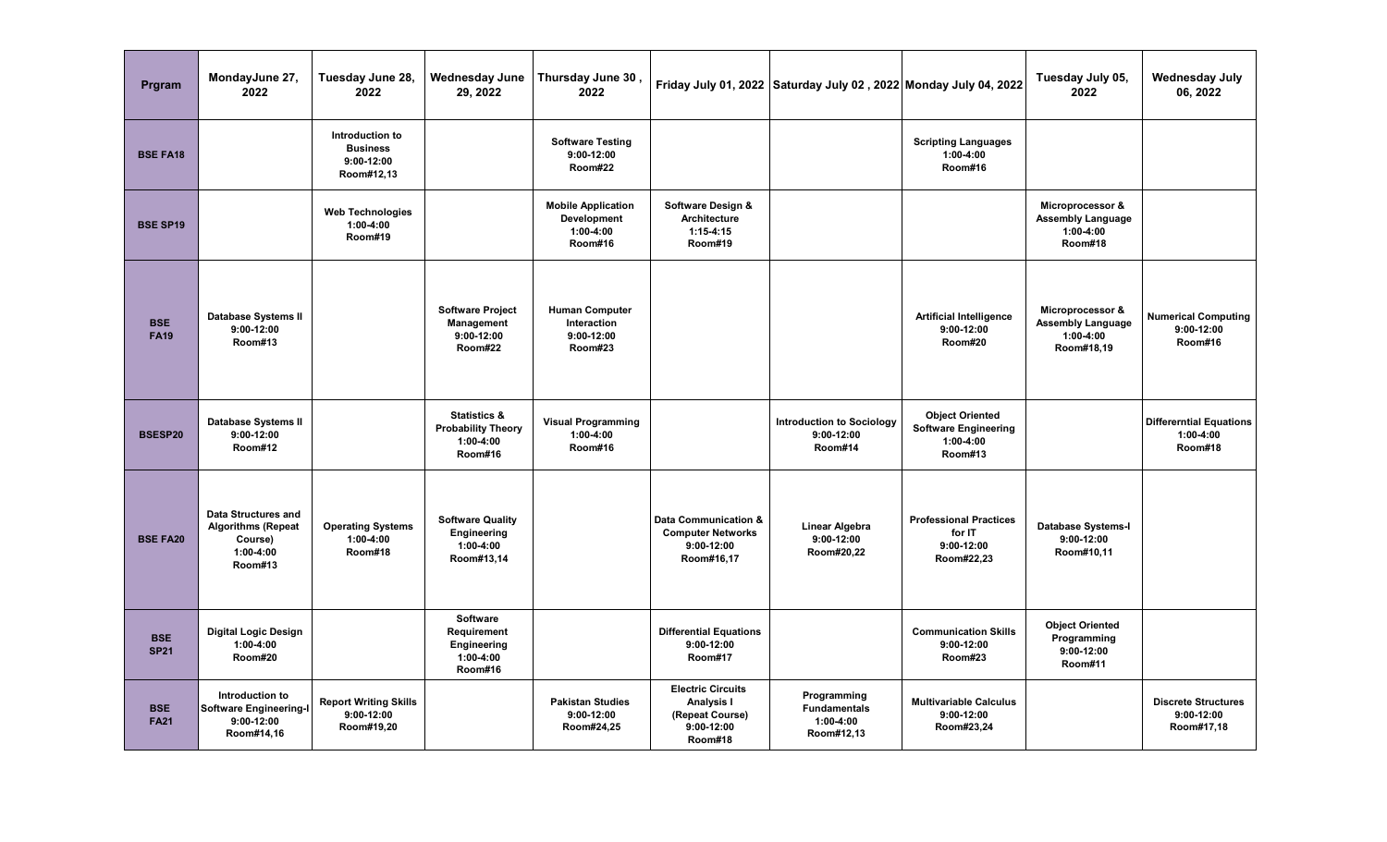| Prgram                    | MondayJune 27,<br>2022                                                                       | Tuesday June 28,<br>2022                                         | <b>Wednesday June</b><br>29, 2022                                              | Thursday June 30<br>2022                                         |                                                                                      | Friday July 01, 2022 Saturday July 02, 2022 Monday July 04, 2022 |                                                                                 | Tuesday July 05,<br>2022                                                  | <b>Wednesday July</b><br>06, 2022                        |
|---------------------------|----------------------------------------------------------------------------------------------|------------------------------------------------------------------|--------------------------------------------------------------------------------|------------------------------------------------------------------|--------------------------------------------------------------------------------------|------------------------------------------------------------------|---------------------------------------------------------------------------------|---------------------------------------------------------------------------|----------------------------------------------------------|
| <b>BSE FA18</b>           |                                                                                              | Introduction to<br><b>Business</b><br>$9:00-12:00$<br>Room#12,13 |                                                                                | <b>Software Testing</b><br>$9:00-12:00$<br>Room#22               |                                                                                      |                                                                  | <b>Scripting Languages</b><br>$1:00-4:00$<br>Room#16                            |                                                                           |                                                          |
| <b>BSE SP19</b>           |                                                                                              | <b>Web Technologies</b><br>$1:00-4:00$<br>Room#19                |                                                                                | <b>Mobile Application</b><br>Development<br>1:00-4:00<br>Room#16 | Software Design &<br>Architecture<br>$1:15 - 4:15$<br>Room#19                        |                                                                  |                                                                                 | Microprocessor &<br><b>Assembly Language</b><br>$1:00-4:00$<br>Room#18    |                                                          |
| <b>BSE</b><br><b>FA19</b> | <b>Database Systems II</b><br>$9:00-12:00$<br>Room#13                                        |                                                                  | <b>Software Project</b><br>Management<br>$9:00-12:00$<br>Room#22               | <b>Human Computer</b><br>Interaction<br>$9:00-12:00$<br>Room#23  |                                                                                      |                                                                  | <b>Artificial Intelligence</b><br>$9:00-12:00$<br>Room#20                       | Microprocessor &<br><b>Assembly Language</b><br>$1:00-4:00$<br>Room#18,19 | <b>Numerical Computing</b><br>$9:00-12:00$<br>Room#16    |
| BSESP20                   | <b>Database Systems II</b><br>$9:00 - 12:00$<br>Room#12                                      |                                                                  | <b>Statistics &amp;</b><br><b>Probability Theory</b><br>$1:00-4:00$<br>Room#16 | <b>Visual Programming</b><br>$1:00-4:00$<br>Room#16              |                                                                                      | <b>Introduction to Sociology</b><br>$9:00-12:00$<br>Room#14      | <b>Object Oriented</b><br><b>Software Engineering</b><br>$1:00-4:00$<br>Room#13 |                                                                           | <b>Differerntial Equations</b><br>1:00-4:00<br>Room#18   |
| <b>BSE FA20</b>           | <b>Data Structures and</b><br><b>Algorithms (Repeat</b><br>Course)<br>$1:00-4:00$<br>Room#13 | <b>Operating Systems</b><br>$1:00-4:00$<br>Room#18               | <b>Software Quality</b><br>Engineering<br>$1:00-4:00$<br>Room#13,14            |                                                                  | Data Communication &<br><b>Computer Networks</b><br>$9:00-12:00$<br>Room#16,17       | Linear Algebra<br>$9:00-12:00$<br>Room#20,22                     | <b>Professional Practices</b><br>for IT<br>$9:00-12:00$<br>Room#22,23           | <b>Database Systems-I</b><br>$9:00-12:00$<br>Room#10,11                   |                                                          |
| <b>BSE</b><br><b>SP21</b> | <b>Digital Logic Design</b><br>$1:00-4:00$<br>Room#20                                        |                                                                  | Software<br>Requirement<br>Engineering<br>$1:00-4:00$<br>Room#16               |                                                                  | <b>Differential Equations</b><br>$9:00-12:00$<br>Room#17                             |                                                                  | <b>Communication Skills</b><br>$9:00-12:00$<br>Room#23                          | <b>Object Oriented</b><br>Programming<br>$9:00-12:00$<br>Room#11          |                                                          |
| <b>BSE</b><br><b>FA21</b> | Introduction to<br><b>Software Engineering-I</b><br>9:00-12:00<br>Room#14,16                 | <b>Report Writing Skills</b><br>$9:00-12:00$<br>Room#19,20       |                                                                                | <b>Pakistan Studies</b><br>$9:00-12:00$<br>Room#24,25            | <b>Electric Circuits</b><br>Analysis I<br>(Repeat Course)<br>$9:00-12:00$<br>Room#18 | Programming<br><b>Fundamentals</b><br>$1:00-4:00$<br>Room#12,13  | <b>Multivariable Calculus</b><br>9:00-12:00<br>Room#23,24                       |                                                                           | <b>Discrete Structures</b><br>$9:00-12:00$<br>Room#17,18 |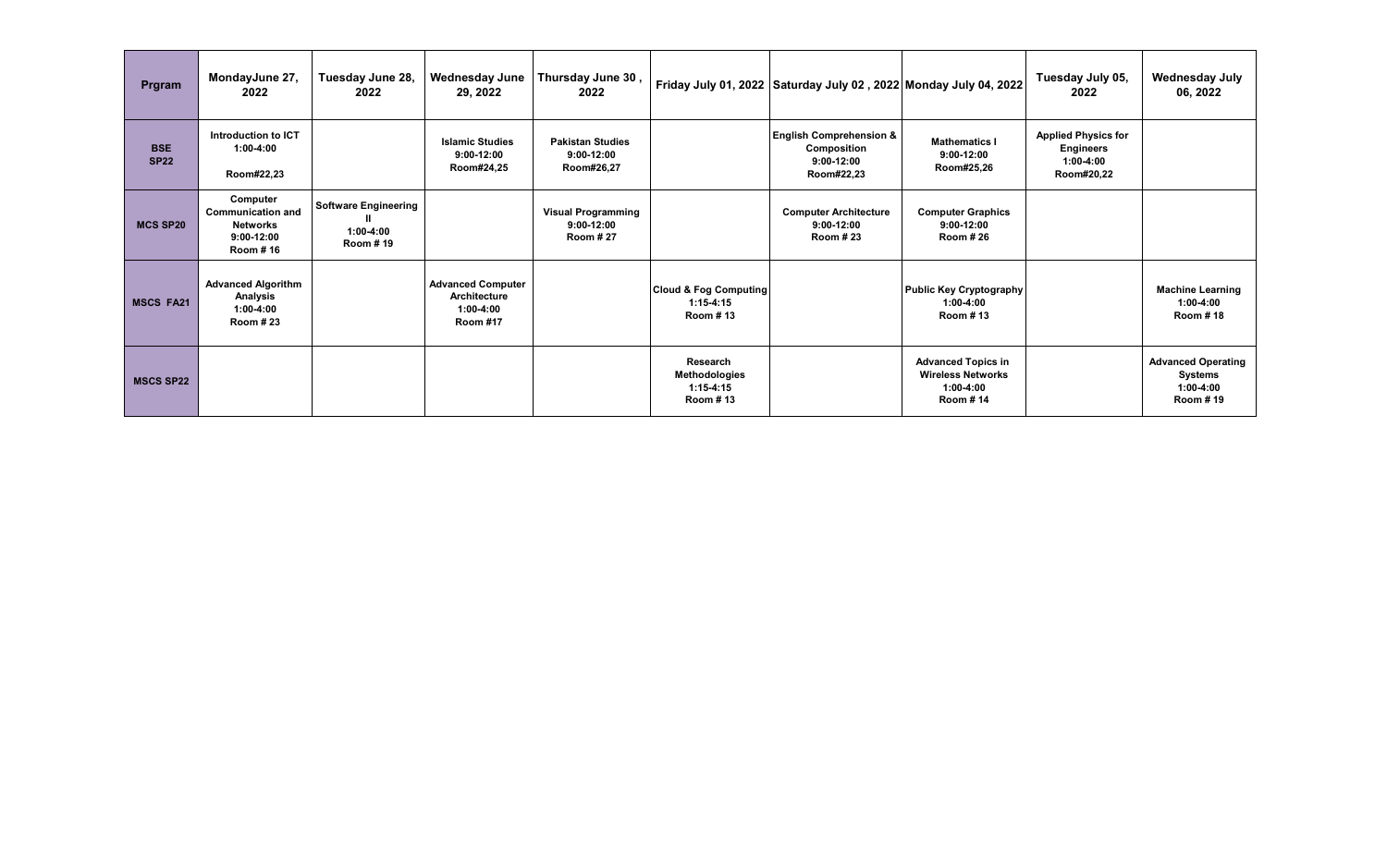| Prgram                    | MondayJune 27,<br>2022                                                              | Tuesday June 28,<br>2022                               | Wednesday June<br>29, 2022                                                 | Thursday June 30<br>2022                                     |                                                             | Friday July 01, 2022 Saturday July 02, 2022 Monday July 04, 2022                |                                                                                         | Tuesday July 05,<br>2022                                                    | <b>Wednesday July</b><br>06, 2022                               |
|---------------------------|-------------------------------------------------------------------------------------|--------------------------------------------------------|----------------------------------------------------------------------------|--------------------------------------------------------------|-------------------------------------------------------------|---------------------------------------------------------------------------------|-----------------------------------------------------------------------------------------|-----------------------------------------------------------------------------|-----------------------------------------------------------------|
| <b>BSE</b><br><b>SP22</b> | Introduction to ICT<br>$1:00-4:00$<br>Room#22,23                                    |                                                        | <b>Islamic Studies</b><br>$9:00-12:00$<br>Room#24,25                       | <b>Pakistan Studies</b><br>$9:00-12:00$<br>Room#26,27        |                                                             | <b>English Comprehension &amp;</b><br>Composition<br>$9:00-12:00$<br>Room#22,23 | <b>Mathematics I</b><br>$9:00-12:00$<br>Room#25,26                                      | <b>Applied Physics for</b><br><b>Engineers</b><br>$1:00-4:00$<br>Room#20,22 |                                                                 |
| <b>MCS SP20</b>           | Computer<br><b>Communication and</b><br><b>Networks</b><br>$9:00-12:00$<br>Room #16 | <b>Software Engineering</b><br>$1:00-4:00$<br>Room #19 |                                                                            | <b>Visual Programming</b><br>$9:00-12:00$<br><b>Room #27</b> |                                                             | <b>Computer Architecture</b><br>$9:00-12:00$<br><b>Room #23</b>                 | <b>Computer Graphics</b><br>$9:00-12:00$<br><b>Room #26</b>                             |                                                                             |                                                                 |
| <b>MSCS FA21</b>          | <b>Advanced Algorithm</b><br>Analysis<br>$1:00-4:00$<br><b>Room #23</b>             |                                                        | <b>Advanced Computer</b><br>Architecture<br>$1:00-4:00$<br><b>Room #17</b> |                                                              | <b>Cloud &amp; Fog Computing</b><br>$1:15-4:15$<br>Room #13 |                                                                                 | <b>Public Key Cryptography</b><br>$1:00-4:00$<br>Room #13                               |                                                                             | <b>Machine Learning</b><br>$1:00-4:00$<br><b>Room #18</b>       |
| <b>MSCS SP22</b>          |                                                                                     |                                                        |                                                                            |                                                              | Research<br>Methodologies<br>$1:15-4:15$<br><b>Room #13</b> |                                                                                 | <b>Advanced Topics in</b><br><b>Wireless Networks</b><br>$1:00-4:00$<br><b>Room #14</b> |                                                                             | <b>Advanced Operating</b><br>Systems<br>$1:00-4:00$<br>Room #19 |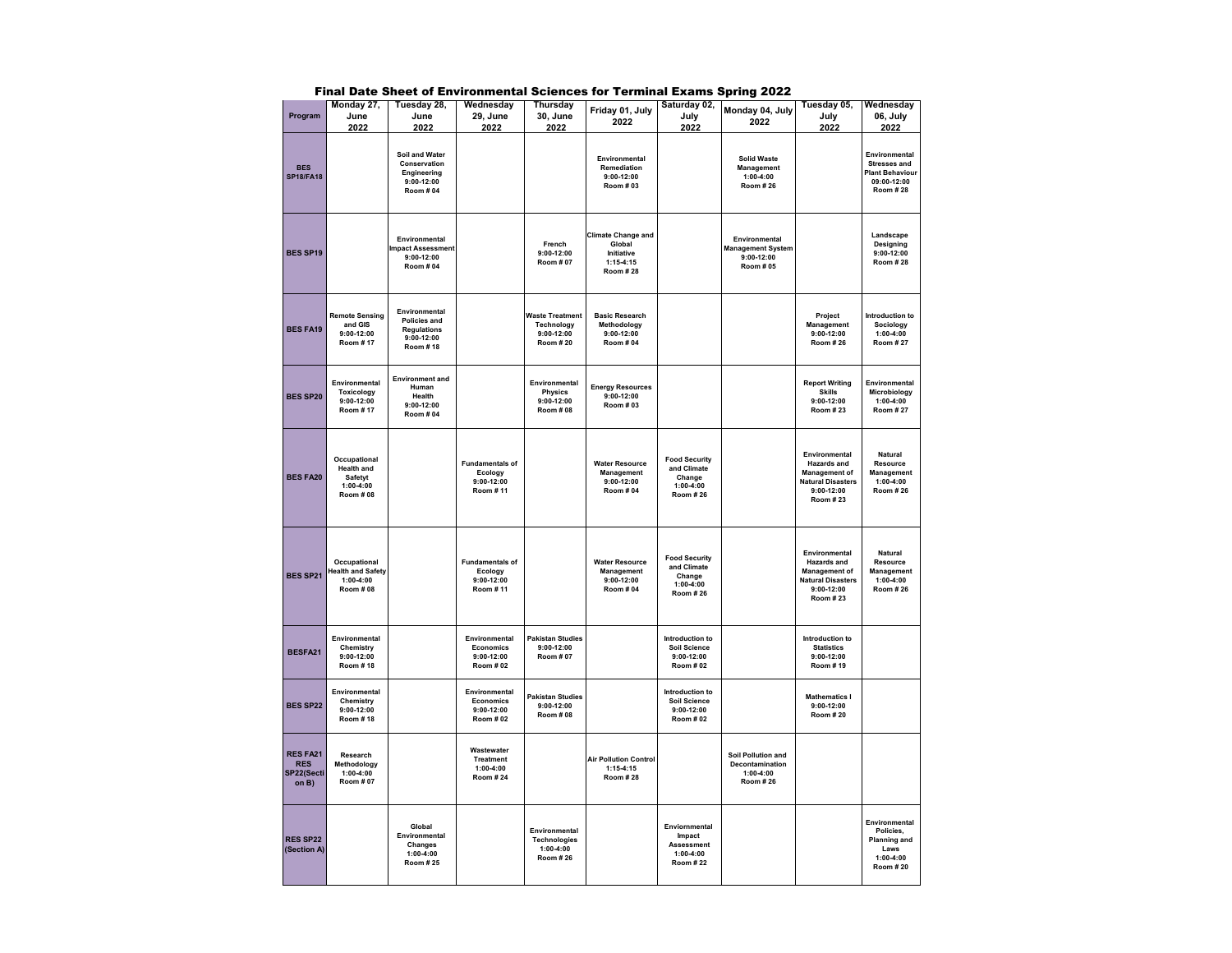|                                               | Monday 27,                                                                       | Tuesday 28,                                                                               | Wednesday                                                          | Thursday                                                                       | Friday 01, July                                                                     | Saturday 02,                                                                      | Monday 04, July                                                               | Tuesday 05,                                                                                                                | Wednesday                                                                                                |
|-----------------------------------------------|----------------------------------------------------------------------------------|-------------------------------------------------------------------------------------------|--------------------------------------------------------------------|--------------------------------------------------------------------------------|-------------------------------------------------------------------------------------|-----------------------------------------------------------------------------------|-------------------------------------------------------------------------------|----------------------------------------------------------------------------------------------------------------------------|----------------------------------------------------------------------------------------------------------|
| Program                                       | June                                                                             | June                                                                                      | 29, June                                                           | 30, June                                                                       | 2022                                                                                | July                                                                              | 2022                                                                          | July                                                                                                                       | 06, July                                                                                                 |
| <b>BES</b><br><b>SP18/FA18</b>                | 2022                                                                             | 2022<br>Soil and Water<br>Conservation<br>Engineering<br>$9:00-12:00$<br><b>Room # 04</b> | 2022                                                               | 2022                                                                           | Environmental<br><b>Remediation</b><br>$9:00-12:00$<br>Room # 03                    | 2022                                                                              | <b>Solid Waste</b><br>Management<br>$1:00 - 4:00$<br><b>Room #26</b>          | 2022                                                                                                                       | 2022<br>Environmental<br><b>Stresses and</b><br><b>Plant Behaviour</b><br>09:00-12:00<br><b>Room #28</b> |
| <b>BES SP19</b>                               |                                                                                  | Environmental<br><b>Impact Assessment</b><br>$9:00-12:00$<br><b>Room # 04</b>             |                                                                    | French<br>$9:00-12:00$<br><b>Room #07</b>                                      | <b>Climate Change and</b><br>Global<br>Initiative<br>$1:15-4:15$<br><b>Room #28</b> |                                                                                   | Environmental<br><b>Management System</b><br>$9:00-12:00$<br><b>Room # 05</b> |                                                                                                                            | Landscape<br>Designing<br>9:00-12:00<br><b>Room #28</b>                                                  |
| <b>BES FA19</b>                               | <b>Remote Sensing</b><br>and GIS<br>$9:00 - 12:00$<br>Room #17                   | Environmental<br>Policies and<br><b>Regulations</b><br>$9:00 - 12:00$<br>Room #18         |                                                                    | <b>Waste Treatment</b><br><b>Technology</b><br>$9:00-12:00$<br><b>Room #20</b> | <b>Basic Research</b><br>Methodology<br>$9:00-12:00$<br><b>Room #04</b>             |                                                                                   |                                                                               | Project<br>Management<br>$9:00-12:00$<br><b>Room #26</b>                                                                   | Introduction to<br>Sociology<br>$1:00 - 4:00$<br><b>Room #27</b>                                         |
| <b>BES SP20</b>                               | Environmental<br>Toxicology<br>9:00-12:00<br><b>Room #17</b>                     | <b>Environment and</b><br>Human<br>Health<br>$9:00 - 12:00$<br><b>Room #04</b>            |                                                                    | Environmental<br>Physics<br>9:00-12:00<br><b>Room #08</b>                      | <b>Energy Resources</b><br>$9:00-12:00$<br>Room # 03                                |                                                                                   |                                                                               | <b>Report Writing</b><br><b>Skills</b><br>$9:00-12:00$<br><b>Room #23</b>                                                  | Environmental<br>Microbiology<br>$1:00-4:00$<br><b>Room #27</b>                                          |
| <b>BES FA20</b>                               | Occupational<br><b>Health and</b><br>Safetyt<br>$1:00 - 4:00$<br><b>Room #08</b> |                                                                                           | <b>Fundamentals of</b><br>Ecology<br>$9:00 - 12:00$<br>Room #11    |                                                                                | <b>Water Resource</b><br>Management<br>$9:00-12:00$<br><b>Room # 04</b>             | <b>Food Security</b><br>and Climate<br>Change<br>$1:00 - 4:00$<br><b>Room #26</b> |                                                                               | Environmental<br><b>Hazards</b> and<br><b>Management of</b><br><b>Natural Disasters</b><br>$9:00-12:00$<br><b>Room #23</b> | Natural<br>Resource<br>Management<br>$1:00-4:00$<br><b>Room #26</b>                                      |
| <b>BES SP21</b>                               | Occupational<br><b>Health and Safety</b><br>$1:00 - 4:00$<br><b>Room # 08</b>    |                                                                                           | <b>Fundamentals of</b><br>Ecology<br>$9:00 - 12:00$<br>Room #11    |                                                                                | <b>Water Resource</b><br>Management<br>$9:00 - 12:00$<br><b>Room #04</b>            | <b>Food Security</b><br>and Climate<br>Change<br>$1:00 - 4:00$<br><b>Room #26</b> |                                                                               | Environmental<br>Hazards and<br><b>Management of</b><br><b>Natural Disasters</b><br>$9:00-12:00$<br><b>Room #23</b>        | Natural<br>Resource<br>Management<br>$1:00 - 4:00$<br><b>Room #26</b>                                    |
| BESFA21                                       | Environmental<br>Chemistry<br>$9:00-12:00$<br>Room #18                           |                                                                                           | Environmental<br><b>Economics</b><br>$9:00-12:00$<br>Room # 02     | <b>Pakistan Studies</b><br>$9:00-12:00$<br><b>Room #07</b>                     |                                                                                     | Introduction to<br><b>Soil Science</b><br>$9:00-12:00$<br><b>Room #02</b>         |                                                                               | Introduction to<br><b>Statistics</b><br>$9:00-12:00$<br>Room #19                                                           |                                                                                                          |
| <b>BES SP22</b>                               | Environmental<br>Chemistry<br>$9:00 - 12:00$<br>Room #18                         |                                                                                           | Environmental<br><b>Economics</b><br>$9:00-12:00$<br>Room # 02     | <b>Pakistan Studies</b><br>$9:00-12:00$<br><b>Room #08</b>                     |                                                                                     | Introduction to<br><b>Soil Science</b><br>9:00-12:00<br><b>Room #02</b>           |                                                                               | <b>Mathematics I</b><br>$9:00-12:00$<br><b>Room #20</b>                                                                    |                                                                                                          |
| RES FA21<br><b>RES</b><br>SP22(Secti<br>on B) | Research<br>Methodology<br>$1:00 - 4:00$<br>Room # 07                            |                                                                                           | Wastewater<br><b>Treatment</b><br>$1:00 - 4:00$<br><b>Room #24</b> |                                                                                | <b>Air Pollution Control</b><br>$1:15-4:15$<br><b>Room #28</b>                      |                                                                                   | Soil Pollution and<br>Decontamination<br>$1:00 - 4:00$<br><b>Room #26</b>     |                                                                                                                            |                                                                                                          |
| <b>RES SP22</b><br>(Section A)                |                                                                                  | Global<br>Environmental<br>Changes<br>$1:00-4:00$<br><b>Room #25</b>                      |                                                                    | Environmental<br><b>Technologies</b><br>$1:00-4:00$<br>Room #26                |                                                                                     | Enviornmental<br>Impact<br>Assessment<br>$1:00 - 4:00$<br><b>Room #22</b>         |                                                                               |                                                                                                                            | Environmental<br>Policies,<br><b>Planning and</b><br>Laws<br>1:00-4:00<br><b>Room #20</b>                |

Final Date Sheet of Environmental Sciences for Terminal Exams Spring 2022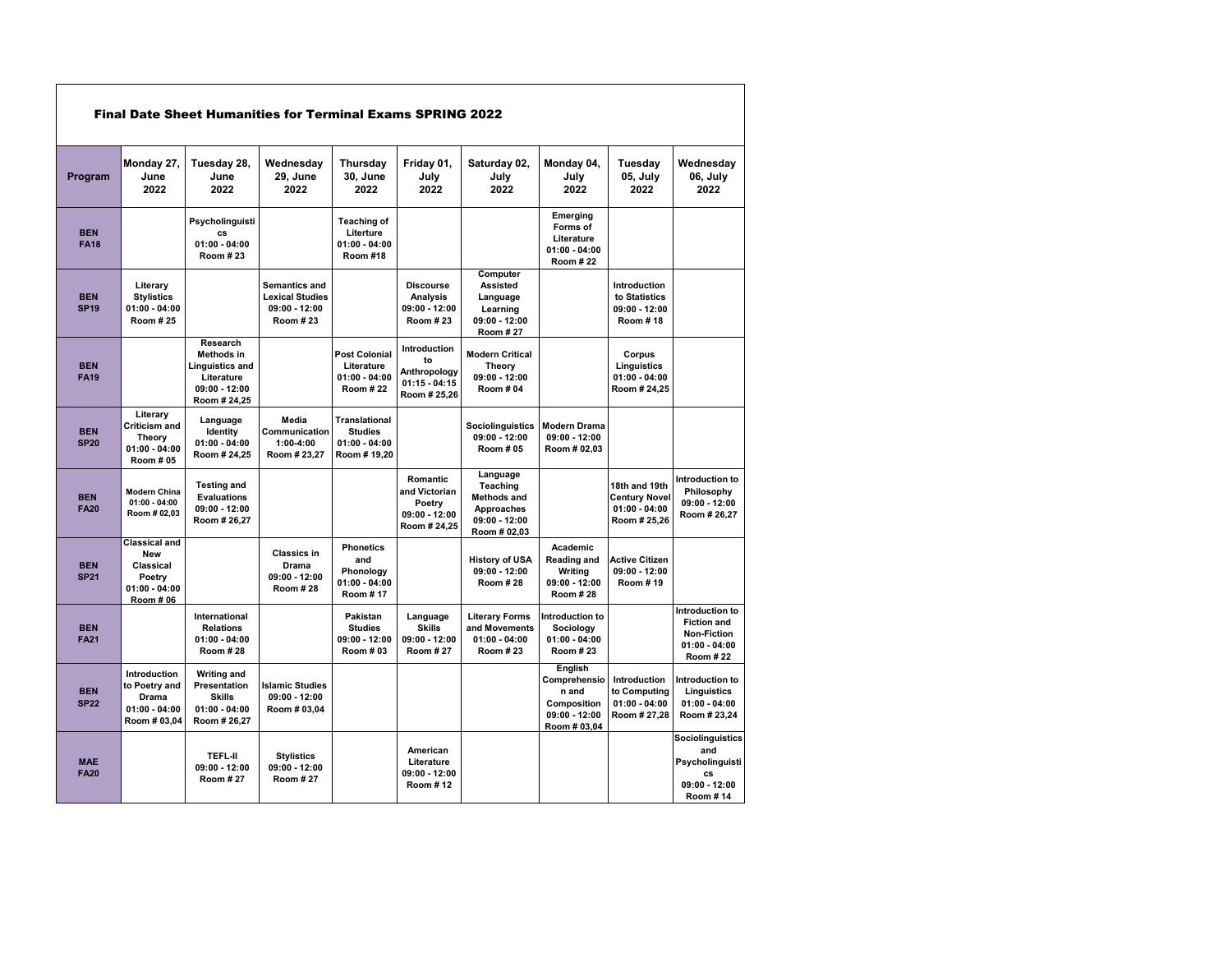|                           |                                                                                           |                                                                                                          | <b>Final Date Sheet Humanities for Terminal Exams SPRING 2022</b>      |                                                                          |                                                                              |                                                                                             |                                                                                    |                                                                          |                                                                                             |
|---------------------------|-------------------------------------------------------------------------------------------|----------------------------------------------------------------------------------------------------------|------------------------------------------------------------------------|--------------------------------------------------------------------------|------------------------------------------------------------------------------|---------------------------------------------------------------------------------------------|------------------------------------------------------------------------------------|--------------------------------------------------------------------------|---------------------------------------------------------------------------------------------|
| Program                   | Monday 27,<br>June<br>2022                                                                | Tuesday 28,<br>June<br>2022                                                                              | Wednesday<br>29, June<br>2022                                          | Thursday<br><b>30. June</b><br>2022                                      | Friday 01,<br>July<br>2022                                                   | Saturday 02,<br>July<br>2022                                                                | Monday 04,<br>Julv<br>2022                                                         | Tuesday<br>05, July<br>2022                                              | Wednesday<br>06, July<br>2022                                                               |
| <b>BEN</b><br><b>FA18</b> |                                                                                           | Psycholinguisti<br>CS<br>$01:00 - 04:00$<br>Room #23                                                     |                                                                        | <b>Teaching of</b><br>Literture<br>$01:00 - 04:00$<br><b>Room #18</b>    |                                                                              |                                                                                             | Emerging<br>Forms of<br>Literature<br>$01:00 - 04:00$<br><b>Room #22</b>           |                                                                          |                                                                                             |
| <b>BEN</b><br><b>SP19</b> | Literary<br><b>Stylistics</b><br>$01:00 - 04:00$<br><b>Room #25</b>                       |                                                                                                          | Semantics and<br><b>Lexical Studies</b><br>$09:00 - 12:00$<br>Room #23 |                                                                          | <b>Discourse</b><br>Analysis<br>09:00 - 12:00<br>Room # 23                   | Computer<br><b>Assisted</b><br>Language<br>Learning<br>$09:00 - 12:00$<br><b>Room #27</b>   |                                                                                    | Introduction<br>to Statistics<br>$09:00 - 12:00$<br>Room #18             |                                                                                             |
| <b>BEN</b><br><b>FA19</b> |                                                                                           | Research<br><b>Methods in</b><br><b>Linguistics and</b><br>Literature<br>$09:00 - 12:00$<br>Room # 24,25 |                                                                        | <b>Post Colonial</b><br>Literature<br>$01:00 - 04:00$<br><b>Room #22</b> | <b>Introduction</b><br>to<br>Anthropology<br>$01:15 - 04:15$<br>Room # 25,26 | <b>Modern Critical</b><br>Theory<br>$09:00 - 12:00$<br>Room # 04                            |                                                                                    | Corpus<br>Linguistics<br>$01:00 - 04:00$<br>Room # 24,25                 |                                                                                             |
| <b>BEN</b><br><b>SP20</b> | Literary<br>Criticism and<br>Theory<br>$01:00 - 04:00$<br>Room # 05                       | Language<br>Identity<br>$01:00 - 04:00$<br>Room # 24,25                                                  | Media<br>Communication<br>$1:00 - 4:00$<br>Room # 23,27                | <b>Translational</b><br><b>Studies</b><br>$01:00 - 04:00$<br>Room #19,20 |                                                                              | <b>Sociolinguistics</b><br>$09:00 - 12:00$<br><b>Room #05</b>                               | <b>Modern Drama</b><br>$09:00 - 12:00$<br>Room # 02,03                             |                                                                          |                                                                                             |
| <b>BEN</b><br><b>FA20</b> | <b>Modern China</b><br>$01:00 - 04:00$<br>Room # 02,03                                    | <b>Testing and</b><br><b>Evaluations</b><br>$09:00 - 12:00$<br>Room # 26,27                              |                                                                        |                                                                          | Romantic<br>and Victorian<br>Poetry<br>$09:00 - 12:00$<br>Room # 24,25       | Language<br>Teaching<br><b>Methods and</b><br>Approaches<br>$09:00 - 12:00$<br>Room # 02,03 |                                                                                    | 18th and 19th<br><b>Century Novel</b><br>$01:00 - 04:00$<br>Room # 25.26 | Introduction to<br>Philosophy<br>$09:00 - 12:00$<br>Room # 26,27                            |
| <b>BEN</b><br><b>SP21</b> | <b>Classical and</b><br>New<br>Classical<br>Poetry<br>$01:00 - 04:00$<br><b>Room # 06</b> |                                                                                                          | <b>Classics in</b><br><b>Drama</b><br>09:00 - 12:00<br>Room #28        | <b>Phonetics</b><br>and<br>Phonology<br>01:00 - 04:00<br>Room #17        |                                                                              | <b>History of USA</b><br>$09:00 - 12:00$<br><b>Room #28</b>                                 | Academic<br>Reading and<br>Writing<br>$09:00 - 12:00$<br><b>Room #28</b>           | <b>Active Citizen</b><br>$09:00 - 12:00$<br>Room #19                     |                                                                                             |
| <b>BEN</b><br><b>FA21</b> |                                                                                           | International<br><b>Relations</b><br>$01:00 - 04:00$<br><b>Room #28</b>                                  |                                                                        | Pakistan<br><b>Studies</b><br>$09:00 - 12:00$<br>Room # 03               | Language<br><b>Skills</b><br>09:00 - 12:00<br><b>Room #27</b>                | <b>Literary Forms</b><br>and Movements<br>$01:00 - 04:00$<br><b>Room #23</b>                | Introduction to<br>Sociology<br>$01:00 - 04:00$<br>Room #23                        |                                                                          | Introduction to<br><b>Fiction and</b><br><b>Non-Fiction</b><br>$01:00 - 04:00$<br>Room # 22 |
| <b>BEN</b><br><b>SP22</b> | Introduction<br>to Poetry and<br><b>Drama</b><br>$01:00 - 04:00$<br>Room # 03,04          | <b>Writing and</b><br>Presentation<br><b>Skills</b><br>$01:00 - 04:00$<br>Room # 26,27                   | <b>Islamic Studies</b><br>$09:00 - 12:00$<br>Room # 03,04              |                                                                          |                                                                              |                                                                                             | English<br>Comprehensio<br>n and<br>Composition<br>$09:00 - 12:00$<br>Room # 03,04 | Introduction<br>to Computing<br>$01:00 - 04:00$<br>Room # 27,28          | Introduction to<br>Linguistics<br>$01:00 - 04:00$<br>Room # 23,24                           |
| <b>MAE</b><br><b>FA20</b> |                                                                                           | <b>TEFL-II</b><br>$09:00 - 12:00$<br><b>Room #27</b>                                                     | <b>Stylistics</b><br>09:00 - 12:00<br><b>Room #27</b>                  |                                                                          | American<br>Literature<br>09:00 - 12:00<br>Room #12                          |                                                                                             |                                                                                    |                                                                          | <b>Sociolinguistics</b><br>and<br>Psycholinguisti<br>cs<br>$09:00 - 12:00$<br>Room #14      |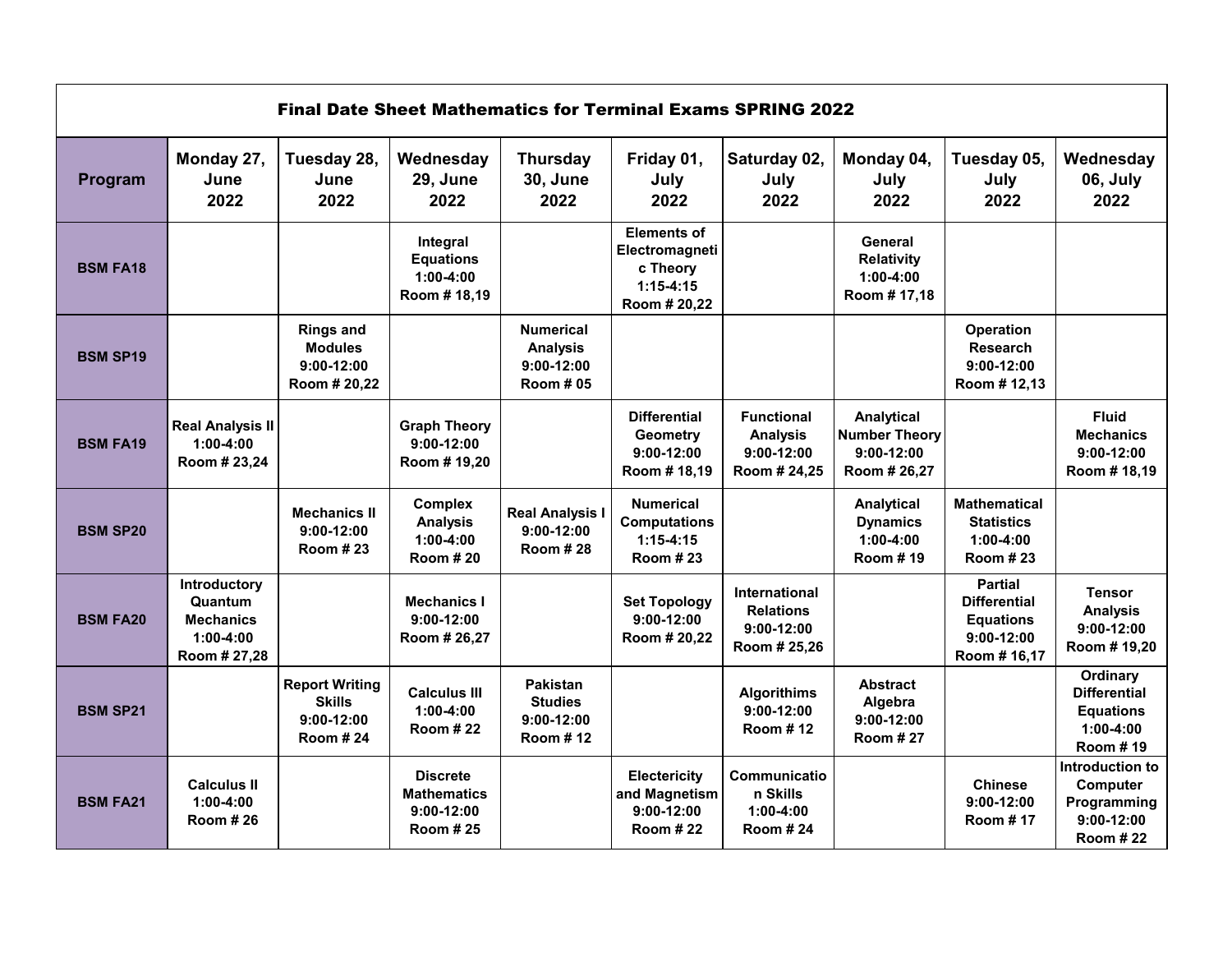|                 |                                                                            | <b>Final Date Sheet Mathematics for Terminal Exams SPRING 2022</b>        |                                                                          |                                                                         |                                                                                 |                                                                          |                                                                           |                                                                                           |                                                                                |
|-----------------|----------------------------------------------------------------------------|---------------------------------------------------------------------------|--------------------------------------------------------------------------|-------------------------------------------------------------------------|---------------------------------------------------------------------------------|--------------------------------------------------------------------------|---------------------------------------------------------------------------|-------------------------------------------------------------------------------------------|--------------------------------------------------------------------------------|
| Program         | Monday 27,<br>June<br>2022                                                 | Tuesday 28,<br>June<br>2022                                               | Wednesday<br>29, June<br>2022                                            | <b>Thursday</b><br><b>30, June</b><br>2022                              | Friday 01,<br>July<br>2022                                                      | Saturday 02,<br>July<br>2022                                             | Monday 04,<br>July<br>2022                                                | Tuesday 05,<br>July<br>2022                                                               | Wednesday<br>06, July<br>2022                                                  |
| <b>BSM FA18</b> |                                                                            |                                                                           | Integral<br><b>Equations</b><br>$1:00-4:00$<br>Room # 18,19              |                                                                         | <b>Elements of</b><br>Electromagneti<br>c Theory<br>$1:15-4:15$<br>Room # 20.22 |                                                                          | General<br>Relativity<br>$1:00 - 4:00$<br>Room #17,18                     |                                                                                           |                                                                                |
| <b>BSM SP19</b> |                                                                            | <b>Rings and</b><br><b>Modules</b><br>$9:00-12:00$<br>Room # 20,22        |                                                                          | <b>Numerical</b><br><b>Analysis</b><br>$9:00-12:00$<br><b>Room # 05</b> |                                                                                 |                                                                          |                                                                           | Operation<br><b>Research</b><br>$9:00-12:00$<br>Room # 12,13                              |                                                                                |
| <b>BSM FA19</b> | <b>Real Analysis II</b><br>$1:00-4:00$<br>Room # 23,24                     |                                                                           | <b>Graph Theory</b><br>$9:00-12:00$<br>Room # 19,20                      |                                                                         | <b>Differential</b><br><b>Geometry</b><br>$9:00-12:00$<br>Room #18,19           | <b>Functional</b><br><b>Analysis</b><br>$9:00-12:00$<br>Room # 24,25     | <b>Analytical</b><br><b>Number Theory</b><br>$9:00-12:00$<br>Room # 26,27 |                                                                                           | <b>Fluid</b><br><b>Mechanics</b><br>$9:00-12:00$<br>Room #18,19                |
| <b>BSM SP20</b> |                                                                            | <b>Mechanics II</b><br>$9:00-12:00$<br><b>Room #23</b>                    | <b>Complex</b><br><b>Analysis</b><br>$1:00 - 4:00$<br><b>Room #20</b>    | <b>Real Analysis I</b><br>$9:00-12:00$<br><b>Room #28</b>               | <b>Numerical</b><br><b>Computations</b><br>$1:15-4:15$<br>Room # 23             |                                                                          | <b>Analytical</b><br><b>Dynamics</b><br>$1:00-4:00$<br>Room #19           | <b>Mathematical</b><br><b>Statistics</b><br>$1:00-4:00$<br><b>Room #23</b>                |                                                                                |
| <b>BSM FA20</b> | Introductory<br>Quantum<br><b>Mechanics</b><br>$1:00-4:00$<br>Room # 27,28 |                                                                           | <b>Mechanics I</b><br>$9:00-12:00$<br>Room # 26,27                       |                                                                         | <b>Set Topology</b><br>$9:00-12:00$<br>Room # 20.22                             | <b>International</b><br><b>Relations</b><br>$9:00-12:00$<br>Room # 25,26 |                                                                           | <b>Partial</b><br><b>Differential</b><br><b>Equations</b><br>$9:00-12:00$<br>Room # 16,17 | <b>Tensor</b><br><b>Analysis</b><br>$9:00-12:00$<br>Room # 19,20               |
| <b>BSM SP21</b> |                                                                            | <b>Report Writing</b><br><b>Skills</b><br>$9:00-12:00$<br><b>Room #24</b> | <b>Calculus III</b><br>$1:00 - 4:00$<br><b>Room #22</b>                  | Pakistan<br><b>Studies</b><br>$9:00-12:00$<br>Room #12                  |                                                                                 | <b>Algorithims</b><br>$9:00 - 12:00$<br>Room #12                         | <b>Abstract</b><br>Algebra<br>$9:00-12:00$<br><b>Room #27</b>             |                                                                                           | Ordinary<br><b>Differential</b><br><b>Equations</b><br>$1:00-4:00$<br>Room #19 |
| <b>BSM FA21</b> | <b>Calculus II</b><br>$1:00-4:00$<br><b>Room #26</b>                       |                                                                           | <b>Discrete</b><br><b>Mathematics</b><br>$9:00-12:00$<br><b>Room #25</b> |                                                                         | Electericity<br>and Magnetism<br>$9:00-12:00$<br><b>Room #22</b>                | Communicatio<br>n Skills<br>$1:00-4:00$<br>Room # 24                     |                                                                           | <b>Chinese</b><br>$9:00-12:00$<br><b>Room #17</b>                                         | Introduction to<br>Computer<br>Programming<br>$9:00-12:00$<br><b>Room #22</b>  |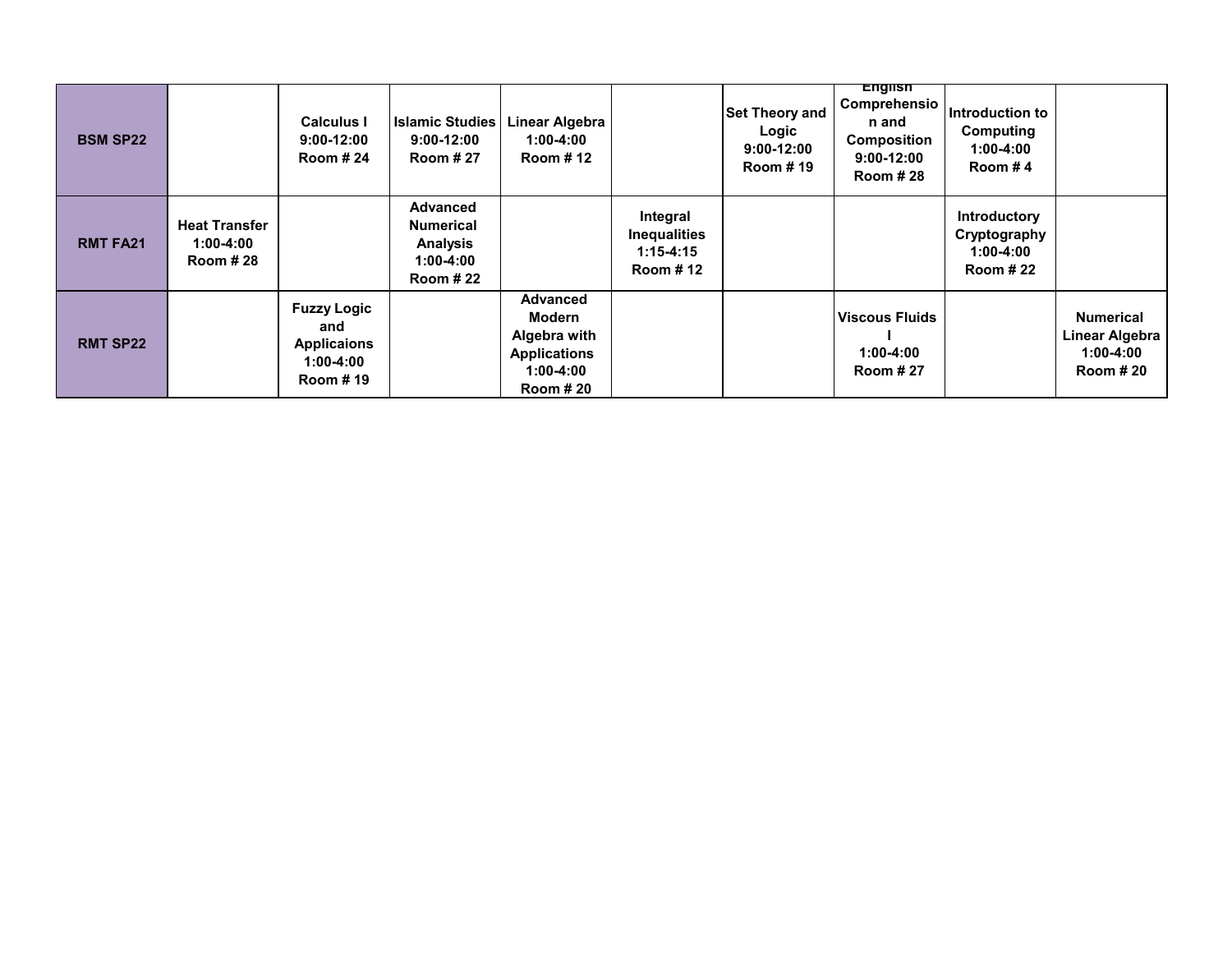| <b>BSM SP22</b> |                                                          | Calculus I<br>$9:00-12:00$<br><b>Room #24</b>                                   | <b>Islamic Studies</b><br>$9:00-12:00$<br><b>Room #27</b>                                | <b>Linear Algebra</b><br>$1:00 - 4:00$<br><b>Room #12</b>                                   |                                                              | <b>Set Theory and</b><br>Logic<br>$9:00-12:00$<br>Room #19 | English<br>Comprehensio<br>n and<br>Composition<br>$9:00-12:00$<br><b>Room #28</b> | Introduction to<br>Computing<br>$1:00 - 4:00$<br>Room #4     |                                                                         |
|-----------------|----------------------------------------------------------|---------------------------------------------------------------------------------|------------------------------------------------------------------------------------------|---------------------------------------------------------------------------------------------|--------------------------------------------------------------|------------------------------------------------------------|------------------------------------------------------------------------------------|--------------------------------------------------------------|-------------------------------------------------------------------------|
| <b>RMT FA21</b> | <b>Heat Transfer</b><br>$1:00 - 4:00$<br><b>Room #28</b> |                                                                                 | <b>Advanced</b><br><b>Numerical</b><br><b>Analysis</b><br>$1:00-4:00$<br><b>Room #22</b> |                                                                                             | Integral<br><b>Inequalities</b><br>$1:15 - 4:15$<br>Room #12 |                                                            |                                                                                    | Introductory<br>Cryptography<br>1:00-4:00<br><b>Room #22</b> |                                                                         |
| <b>RMT SP22</b> |                                                          | <b>Fuzzy Logic</b><br>and<br><b>Applicaions</b><br>1:00-4:00<br><b>Room #19</b> |                                                                                          | Advanced<br>Modern<br>Algebra with<br><b>Applications</b><br>$1:00-4:00$<br><b>Room #20</b> |                                                              |                                                            | <b>Viscous Fluids</b><br>$1:00 - 4:00$<br><b>Room #27</b>                          |                                                              | <b>Numerical</b><br>Linear Algebra<br>$1:00 - 4:00$<br><b>Room # 20</b> |